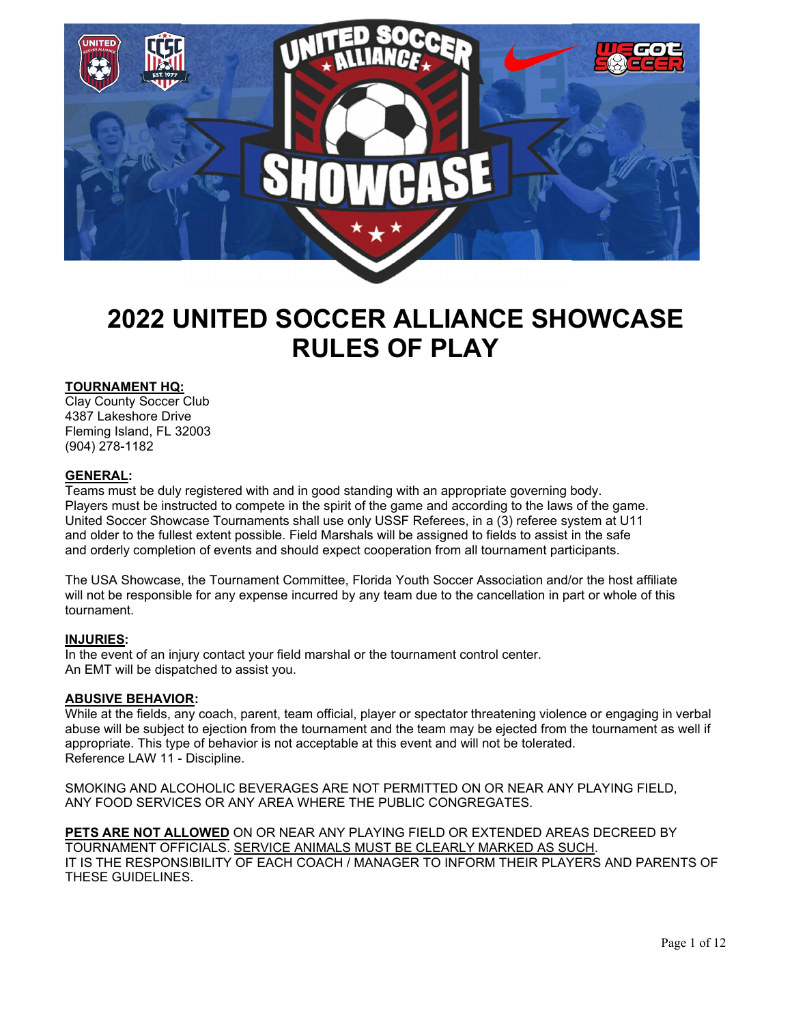

# 2022 UNITED SOCCER ALLIANCE SHOWCASE RULES OF PLAY

## TOURNAMENT HQ:

Clay County Soccer Club 4387 Lakeshore Drive Fleming Island, FL 32003 (904) 278-1182

#### GENERAL:

Teams must be duly registered with and in good standing with an appropriate governing body. Players must be instructed to compete in the spirit of the game and according to the laws of the game. United Soccer Showcase Tournaments shall use only USSF Referees, in a (3) referee system at U11 and older to the fullest extent possible. Field Marshals will be assigned to fields to assist in the safe and orderly completion of events and should expect cooperation from all tournament participants.

The USA Showcase, the Tournament Committee, Florida Youth Soccer Association and/or the host affiliate will not be responsible for any expense incurred by any team due to the cancellation in part or whole of this tournament.

#### INJURIES:

In the event of an injury contact your field marshal or the tournament control center. An EMT will be dispatched to assist you.

#### ABUSIVE BEHAVIOR:

While at the fields, any coach, parent, team official, player or spectator threatening violence or engaging in verbal abuse will be subject to ejection from the tournament and the team may be ejected from the tournament as well if appropriate. This type of behavior is not acceptable at this event and will not be tolerated. Reference LAW 11 - Discipline.

SMOKING AND ALCOHOLIC BEVERAGES ARE NOT PERMITTED ON OR NEAR ANY PLAYING FIELD, ANY FOOD SERVICES OR ANY AREA WHERE THE PUBLIC CONGREGATES.

PETS ARE NOT ALLOWED ON OR NEAR ANY PLAYING FIELD OR EXTENDED AREAS DECREED BY TOURNAMENT OFFICIALS. SERVICE ANIMALS MUST BE CLEARLY MARKED AS SUCH. IT IS THE RESPONSIBILITY OF EACH COACH / MANAGER TO INFORM THEIR PLAYERS AND PARENTS OF THESE GUIDELINES.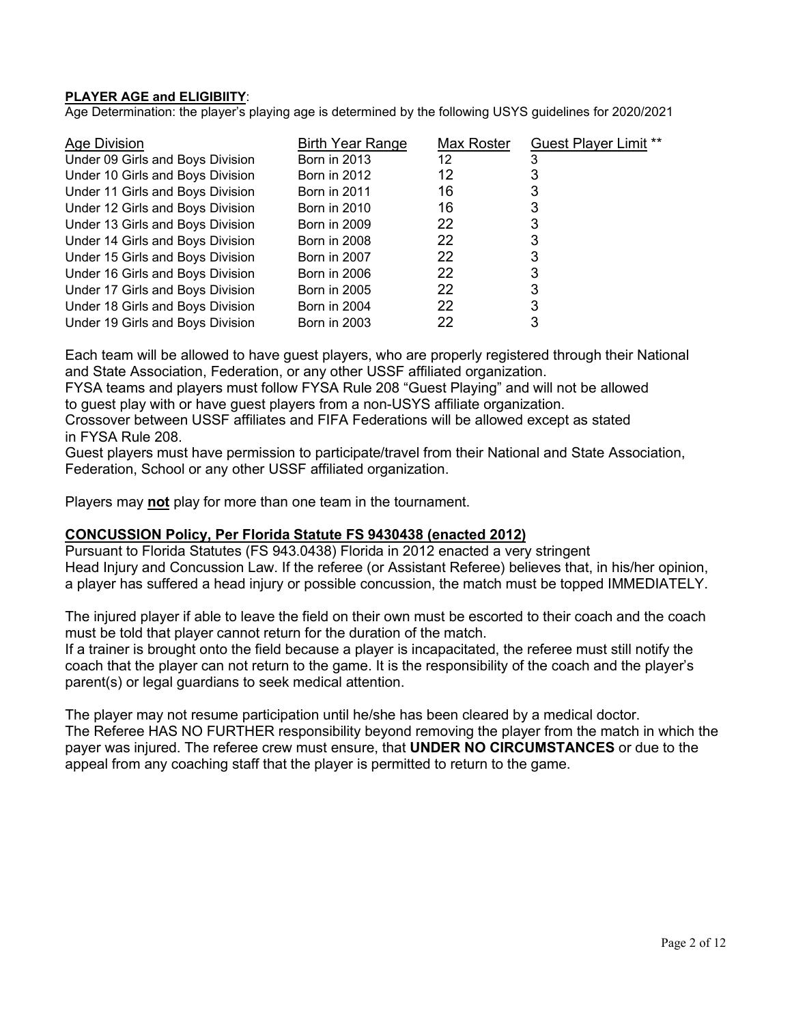## PLAYER AGE and ELIGIBIITY:

Age Determination: the player's playing age is determined by the following USYS guidelines for 2020/2021

| Age Division                     | <b>Birth Year Range</b> | Max Roster | <b>Guest Player Limit **</b> |
|----------------------------------|-------------------------|------------|------------------------------|
| Under 09 Girls and Boys Division | <b>Born in 2013</b>     | 12         |                              |
| Under 10 Girls and Boys Division | <b>Born in 2012</b>     | 12         |                              |
| Under 11 Girls and Boys Division | <b>Born in 2011</b>     | 16         |                              |
| Under 12 Girls and Boys Division | <b>Born in 2010</b>     | 16         |                              |
| Under 13 Girls and Boys Division | <b>Born in 2009</b>     | 22         |                              |
| Under 14 Girls and Boys Division | <b>Born in 2008</b>     | 22         |                              |
| Under 15 Girls and Boys Division | <b>Born in 2007</b>     | 22         | 3                            |
| Under 16 Girls and Boys Division | <b>Born in 2006</b>     | 22         | 3                            |
| Under 17 Girls and Boys Division | <b>Born in 2005</b>     | 22         | 3                            |
| Under 18 Girls and Boys Division | <b>Born in 2004</b>     | 22         | 3                            |
| Under 19 Girls and Boys Division | <b>Born in 2003</b>     | 22         | 3                            |

Each team will be allowed to have guest players, who are properly registered through their National and State Association, Federation, or any other USSF affiliated organization.

FYSA teams and players must follow FYSA Rule 208 "Guest Playing" and will not be allowed to guest play with or have guest players from a non-USYS affiliate organization.

Crossover between USSF affiliates and FIFA Federations will be allowed except as stated in FYSA Rule 208.

Guest players must have permission to participate/travel from their National and State Association, Federation, School or any other USSF affiliated organization.

Players may **not** play for more than one team in the tournament.

## CONCUSSION Policy, Per Florida Statute FS 9430438 (enacted 2012)

Pursuant to Florida Statutes (FS 943.0438) Florida in 2012 enacted a very stringent Head Injury and Concussion Law. If the referee (or Assistant Referee) believes that, in his/her opinion, a player has suffered a head injury or possible concussion, the match must be topped IMMEDIATELY.

The injured player if able to leave the field on their own must be escorted to their coach and the coach must be told that player cannot return for the duration of the match.

If a trainer is brought onto the field because a player is incapacitated, the referee must still notify the coach that the player can not return to the game. It is the responsibility of the coach and the player's parent(s) or legal guardians to seek medical attention.

The player may not resume participation until he/she has been cleared by a medical doctor. The Referee HAS NO FURTHER responsibility beyond removing the player from the match in which the payer was injured. The referee crew must ensure, that UNDER NO CIRCUMSTANCES or due to the appeal from any coaching staff that the player is permitted to return to the game.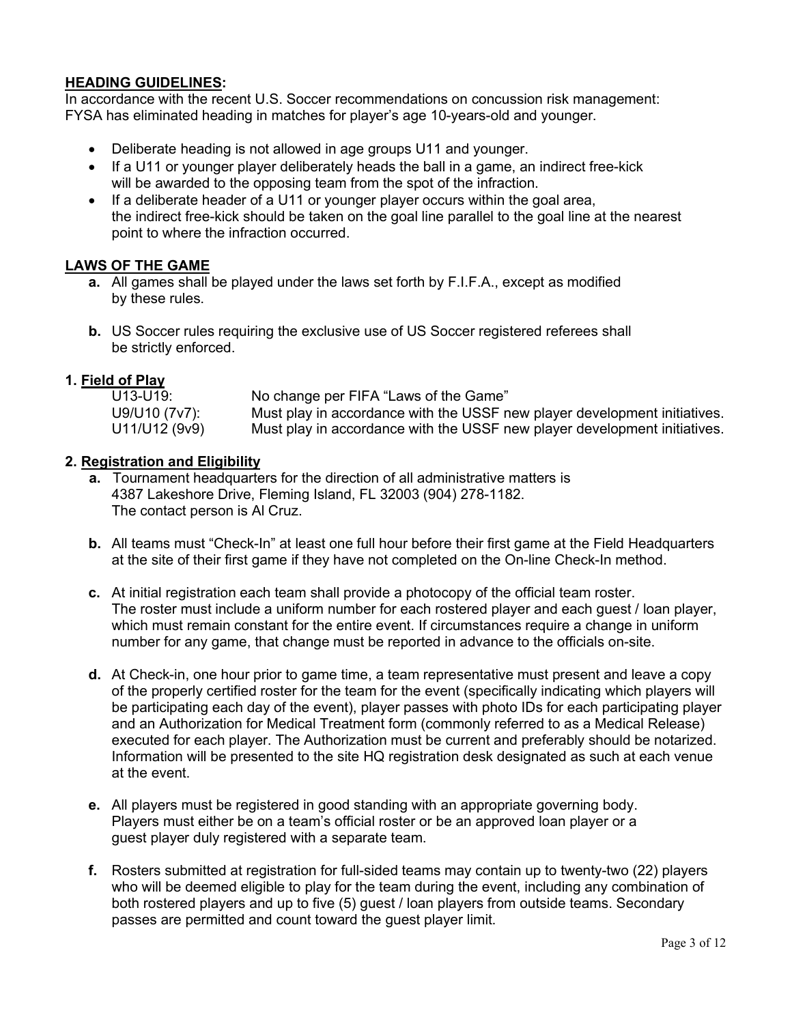## HEADING GUIDELINES:

In accordance with the recent U.S. Soccer recommendations on concussion risk management: FYSA has eliminated heading in matches for player's age 10-years-old and younger.

- Deliberate heading is not allowed in age groups U11 and younger.
- If a U11 or younger player deliberately heads the ball in a game, an indirect free-kick will be awarded to the opposing team from the spot of the infraction.
- If a deliberate header of a U11 or younger player occurs within the goal area, the indirect free-kick should be taken on the goal line parallel to the goal line at the nearest point to where the infraction occurred.

## LAWS OF THE GAME

- a. All games shall be played under the laws set forth by F.I.F.A., except as modified by these rules.
- b. US Soccer rules requiring the exclusive use of US Soccer registered referees shall be strictly enforced.

## 1. Field of Play

| U13-U19:      | No change per FIFA "Laws of the Game"                                     |
|---------------|---------------------------------------------------------------------------|
| U9/U10 (7v7): | Must play in accordance with the USSF new player development initiatives. |
| U11/U12 (9v9) | Must play in accordance with the USSF new player development initiatives. |

## 2. Registration and Eligibility

- a. Tournament headquarters for the direction of all administrative matters is 4387 Lakeshore Drive, Fleming Island, FL 32003 (904) 278-1182. The contact person is Al Cruz.
- b. All teams must "Check-In" at least one full hour before their first game at the Field Headquarters at the site of their first game if they have not completed on the On-line Check-In method.
- c. At initial registration each team shall provide a photocopy of the official team roster. The roster must include a uniform number for each rostered player and each guest / loan player, which must remain constant for the entire event. If circumstances require a change in uniform number for any game, that change must be reported in advance to the officials on-site.
- d. At Check-in, one hour prior to game time, a team representative must present and leave a copy of the properly certified roster for the team for the event (specifically indicating which players will be participating each day of the event), player passes with photo IDs for each participating player and an Authorization for Medical Treatment form (commonly referred to as a Medical Release) executed for each player. The Authorization must be current and preferably should be notarized. Information will be presented to the site HQ registration desk designated as such at each venue at the event.
- e. All players must be registered in good standing with an appropriate governing body. Players must either be on a team's official roster or be an approved loan player or a guest player duly registered with a separate team.
- f. Rosters submitted at registration for full-sided teams may contain up to twenty-two (22) players who will be deemed eligible to play for the team during the event, including any combination of both rostered players and up to five (5) guest / loan players from outside teams. Secondary passes are permitted and count toward the guest player limit.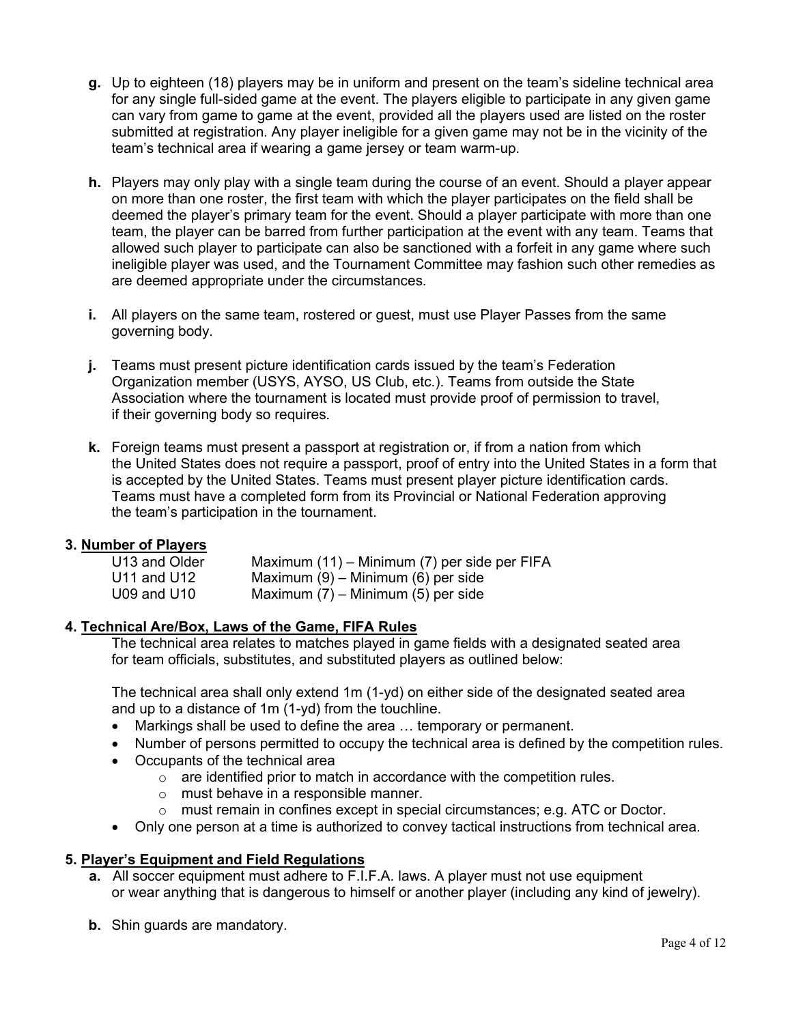- g. Up to eighteen (18) players may be in uniform and present on the team's sideline technical area for any single full-sided game at the event. The players eligible to participate in any given game can vary from game to game at the event, provided all the players used are listed on the roster submitted at registration. Any player ineligible for a given game may not be in the vicinity of the team's technical area if wearing a game jersey or team warm-up.
- h. Players may only play with a single team during the course of an event. Should a player appear on more than one roster, the first team with which the player participates on the field shall be deemed the player's primary team for the event. Should a player participate with more than one team, the player can be barred from further participation at the event with any team. Teams that allowed such player to participate can also be sanctioned with a forfeit in any game where such ineligible player was used, and the Tournament Committee may fashion such other remedies as are deemed appropriate under the circumstances.
- i. All players on the same team, rostered or guest, must use Player Passes from the same governing body.
- j. Teams must present picture identification cards issued by the team's Federation Organization member (USYS, AYSO, US Club, etc.). Teams from outside the State Association where the tournament is located must provide proof of permission to travel, if their governing body so requires.
- k. Foreign teams must present a passport at registration or, if from a nation from which the United States does not require a passport, proof of entry into the United States in a form that is accepted by the United States. Teams must present player picture identification cards. Teams must have a completed form from its Provincial or National Federation approving the team's participation in the tournament.

# 3. Number of Players

| U13 and Older   | Maximum (11) – Minimum (7) per side per FIFA |
|-----------------|----------------------------------------------|
| U11 and U12     | Maximum $(9)$ – Minimum $(6)$ per side       |
| $U09$ and $U10$ | Maximum $(7)$ – Minimum $(5)$ per side       |

## 4. Technical Are/Box, Laws of the Game, FIFA Rules

The technical area relates to matches played in game fields with a designated seated area for team officials, substitutes, and substituted players as outlined below:

The technical area shall only extend 1m (1-yd) on either side of the designated seated area and up to a distance of 1m (1-yd) from the touchline.

- Markings shall be used to define the area … temporary or permanent.
- Number of persons permitted to occupy the technical area is defined by the competition rules.
- Occupants of the technical area
	- $\circ$  are identified prior to match in accordance with the competition rules.
	- o must behave in a responsible manner.
	- o must remain in confines except in special circumstances; e.g. ATC or Doctor.
- Only one person at a time is authorized to convey tactical instructions from technical area.

# 5. Player's Equipment and Field Regulations

- a. All soccer equipment must adhere to F.I.F.A. laws. A player must not use equipment or wear anything that is dangerous to himself or another player (including any kind of jewelry).
- b. Shin guards are mandatory.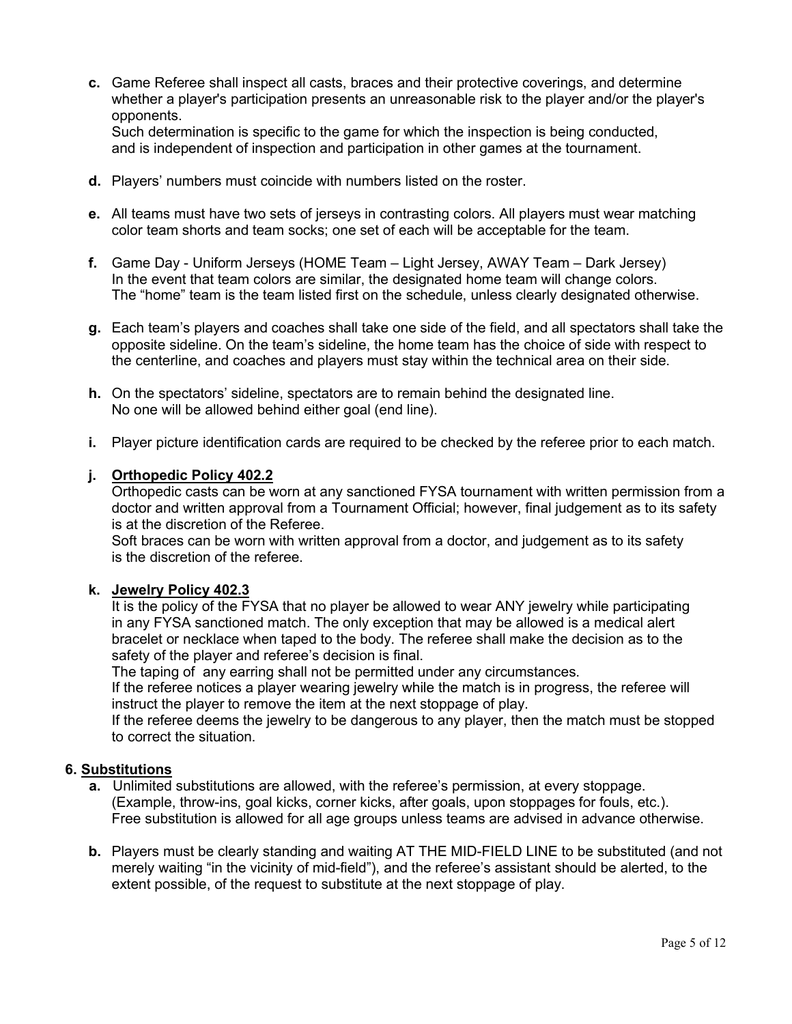c. Game Referee shall inspect all casts, braces and their protective coverings, and determine whether a player's participation presents an unreasonable risk to the player and/or the player's opponents.

Such determination is specific to the game for which the inspection is being conducted, and is independent of inspection and participation in other games at the tournament.

- d. Players' numbers must coincide with numbers listed on the roster.
- e. All teams must have two sets of jerseys in contrasting colors. All players must wear matching color team shorts and team socks; one set of each will be acceptable for the team.
- f. Game Day Uniform Jerseys (HOME Team Light Jersey, AWAY Team Dark Jersey) In the event that team colors are similar, the designated home team will change colors. The "home" team is the team listed first on the schedule, unless clearly designated otherwise.
- g. Each team's players and coaches shall take one side of the field, and all spectators shall take the opposite sideline. On the team's sideline, the home team has the choice of side with respect to the centerline, and coaches and players must stay within the technical area on their side.
- h. On the spectators' sideline, spectators are to remain behind the designated line. No one will be allowed behind either goal (end line).
- i. Player picture identification cards are required to be checked by the referee prior to each match.

## j. Orthopedic Policy 402.2

Orthopedic casts can be worn at any sanctioned FYSA tournament with written permission from a doctor and written approval from a Tournament Official; however, final judgement as to its safety is at the discretion of the Referee.

Soft braces can be worn with written approval from a doctor, and judgement as to its safety is the discretion of the referee.

#### k. Jewelry Policy 402.3

It is the policy of the FYSA that no player be allowed to wear ANY jewelry while participating in any FYSA sanctioned match. The only exception that may be allowed is a medical alert bracelet or necklace when taped to the body. The referee shall make the decision as to the safety of the player and referee's decision is final.

The taping of any earring shall not be permitted under any circumstances.

If the referee notices a player wearing jewelry while the match is in progress, the referee will instruct the player to remove the item at the next stoppage of play.

If the referee deems the jewelry to be dangerous to any player, then the match must be stopped to correct the situation.

#### 6. Substitutions

- a. Unlimited substitutions are allowed, with the referee's permission, at every stoppage. (Example, throw-ins, goal kicks, corner kicks, after goals, upon stoppages for fouls, etc.). Free substitution is allowed for all age groups unless teams are advised in advance otherwise.
- b. Players must be clearly standing and waiting AT THE MID-FIELD LINE to be substituted (and not merely waiting "in the vicinity of mid-field"), and the referee's assistant should be alerted, to the extent possible, of the request to substitute at the next stoppage of play.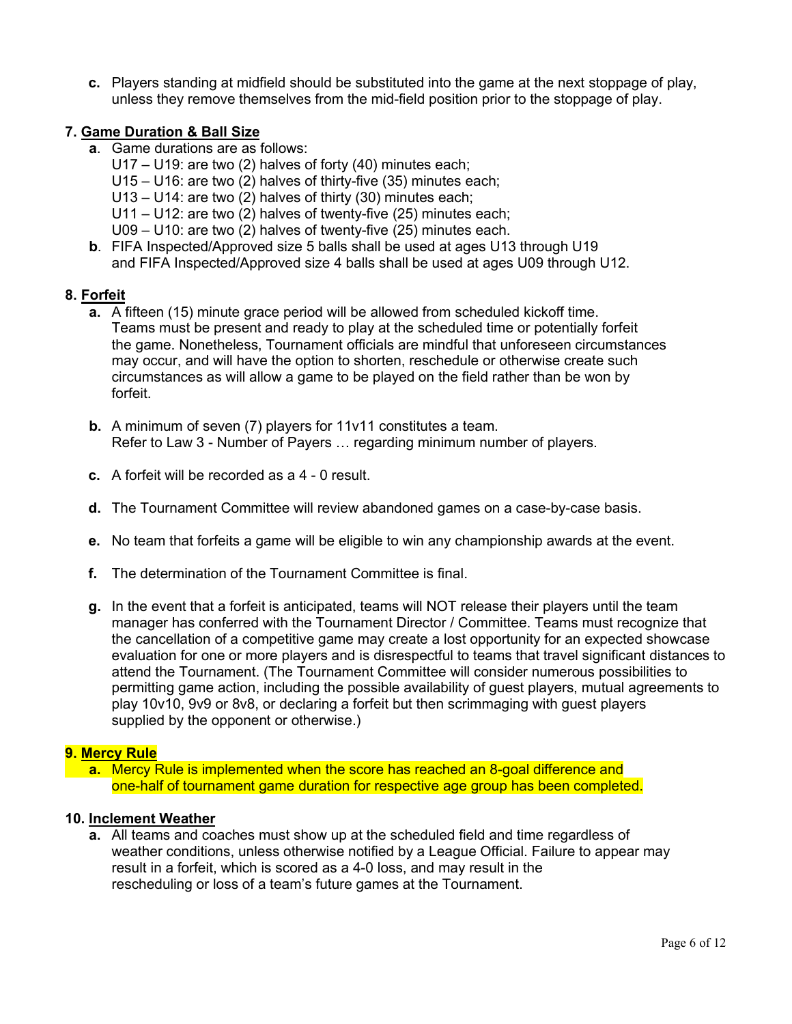c. Players standing at midfield should be substituted into the game at the next stoppage of play, unless they remove themselves from the mid-field position prior to the stoppage of play.

# 7. Game Duration & Ball Size

- a. Game durations are as follows:
	- U17 U19: are two (2) halves of forty (40) minutes each;
	- U15 U16: are two (2) halves of thirty-five (35) minutes each;
	- U13 U14: are two (2) halves of thirty (30) minutes each;
	- U11 U12: are two (2) halves of twenty-five (25) minutes each;
	- U09 U10: are two (2) halves of twenty-five (25) minutes each.
- b. FIFA Inspected/Approved size 5 balls shall be used at ages U13 through U19 and FIFA Inspected/Approved size 4 balls shall be used at ages U09 through U12.

# 8. Forfeit

- a. A fifteen (15) minute grace period will be allowed from scheduled kickoff time. Teams must be present and ready to play at the scheduled time or potentially forfeit the game. Nonetheless, Tournament officials are mindful that unforeseen circumstances may occur, and will have the option to shorten, reschedule or otherwise create such circumstances as will allow a game to be played on the field rather than be won by forfeit.
- b. A minimum of seven (7) players for 11v11 constitutes a team. Refer to Law 3 - Number of Payers … regarding minimum number of players.
- c. A forfeit will be recorded as a 4 0 result.
- d. The Tournament Committee will review abandoned games on a case-by-case basis.
- e. No team that forfeits a game will be eligible to win any championship awards at the event.
- f. The determination of the Tournament Committee is final.
- g. In the event that a forfeit is anticipated, teams will NOT release their players until the team manager has conferred with the Tournament Director / Committee. Teams must recognize that the cancellation of a competitive game may create a lost opportunity for an expected showcase evaluation for one or more players and is disrespectful to teams that travel significant distances to attend the Tournament. (The Tournament Committee will consider numerous possibilities to permitting game action, including the possible availability of guest players, mutual agreements to play 10v10, 9v9 or 8v8, or declaring a forfeit but then scrimmaging with guest players supplied by the opponent or otherwise.)

## 9. Mercy Rule

 a. Mercy Rule is implemented when the score has reached an 8-goal difference and one-half of tournament game duration for respective age group has been completed.

## 10. Inclement Weather

a. All teams and coaches must show up at the scheduled field and time regardless of weather conditions, unless otherwise notified by a League Official. Failure to appear may result in a forfeit, which is scored as a 4-0 loss, and may result in the rescheduling or loss of a team's future games at the Tournament.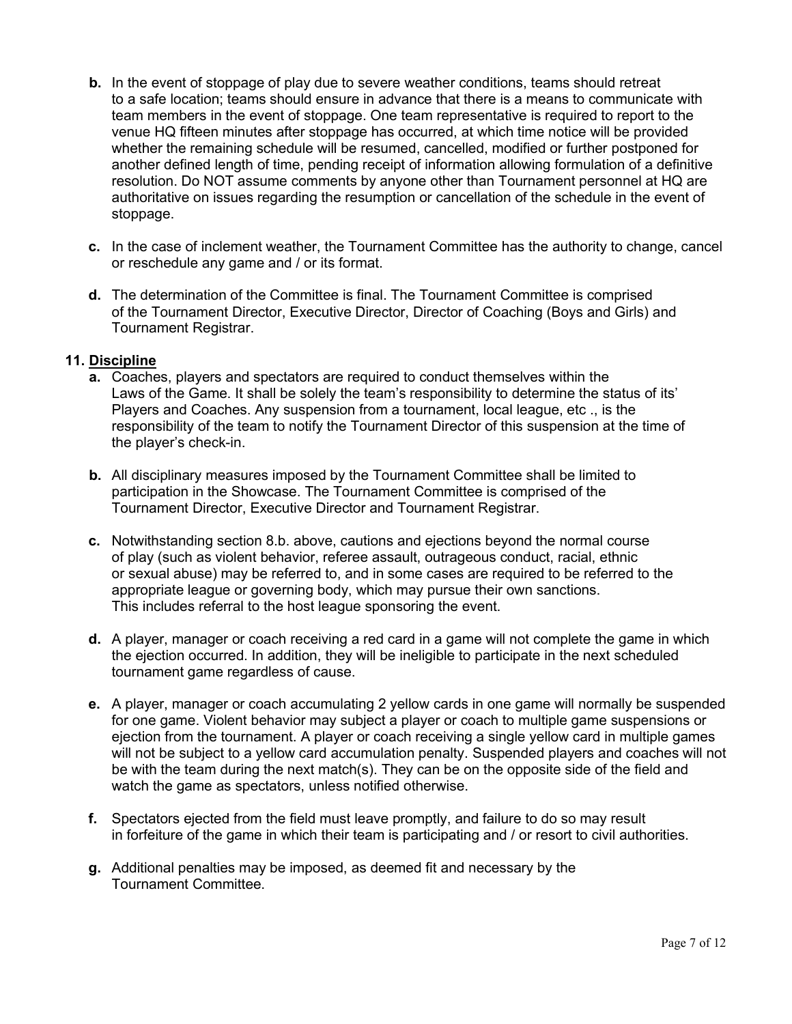- b. In the event of stoppage of play due to severe weather conditions, teams should retreat to a safe location; teams should ensure in advance that there is a means to communicate with team members in the event of stoppage. One team representative is required to report to the venue HQ fifteen minutes after stoppage has occurred, at which time notice will be provided whether the remaining schedule will be resumed, cancelled, modified or further postponed for another defined length of time, pending receipt of information allowing formulation of a definitive resolution. Do NOT assume comments by anyone other than Tournament personnel at HQ are authoritative on issues regarding the resumption or cancellation of the schedule in the event of stoppage.
- c. In the case of inclement weather, the Tournament Committee has the authority to change, cancel or reschedule any game and / or its format.
- d. The determination of the Committee is final. The Tournament Committee is comprised of the Tournament Director, Executive Director, Director of Coaching (Boys and Girls) and Tournament Registrar.

## 11. Discipline

- a. Coaches, players and spectators are required to conduct themselves within the Laws of the Game. It shall be solely the team's responsibility to determine the status of its' Players and Coaches. Any suspension from a tournament, local league, etc ., is the responsibility of the team to notify the Tournament Director of this suspension at the time of the player's check-in.
- b. All disciplinary measures imposed by the Tournament Committee shall be limited to participation in the Showcase. The Tournament Committee is comprised of the Tournament Director, Executive Director and Tournament Registrar.
- c. Notwithstanding section 8.b. above, cautions and ejections beyond the normal course of play (such as violent behavior, referee assault, outrageous conduct, racial, ethnic or sexual abuse) may be referred to, and in some cases are required to be referred to the appropriate league or governing body, which may pursue their own sanctions. This includes referral to the host league sponsoring the event.
- d. A player, manager or coach receiving a red card in a game will not complete the game in which the ejection occurred. In addition, they will be ineligible to participate in the next scheduled tournament game regardless of cause.
- e. A player, manager or coach accumulating 2 yellow cards in one game will normally be suspended for one game. Violent behavior may subject a player or coach to multiple game suspensions or ejection from the tournament. A player or coach receiving a single yellow card in multiple games will not be subject to a yellow card accumulation penalty. Suspended players and coaches will not be with the team during the next match(s). They can be on the opposite side of the field and watch the game as spectators, unless notified otherwise.
- f. Spectators ejected from the field must leave promptly, and failure to do so may result in forfeiture of the game in which their team is participating and / or resort to civil authorities.
- g. Additional penalties may be imposed, as deemed fit and necessary by the Tournament Committee.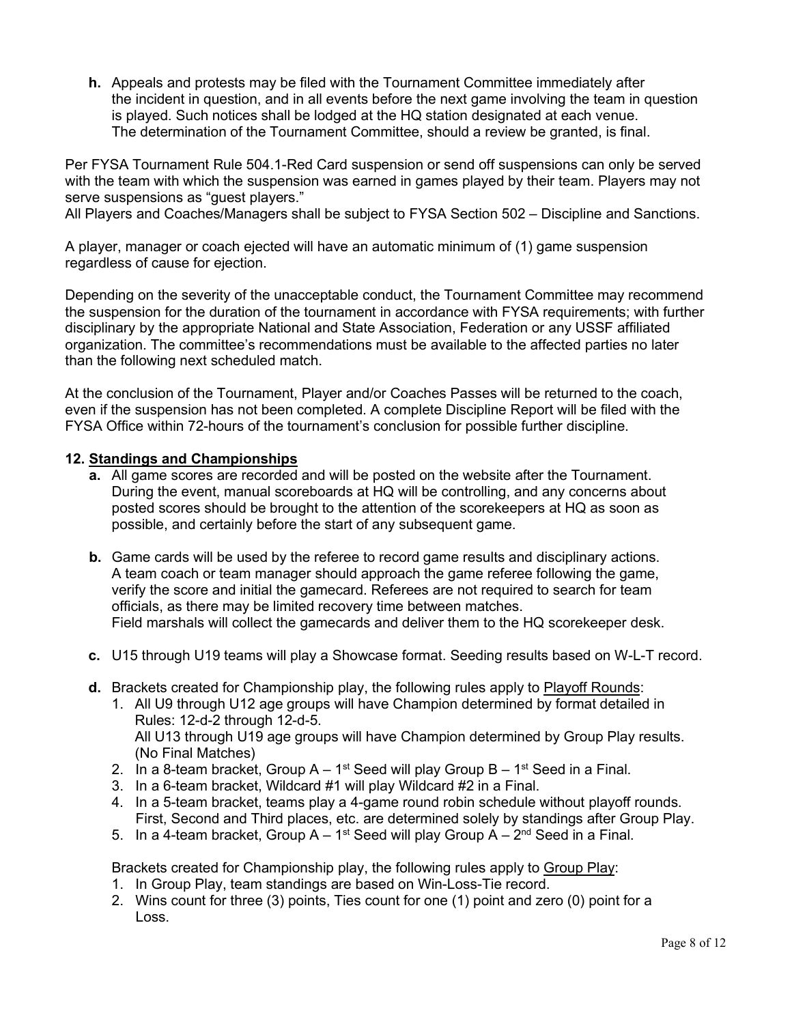h. Appeals and protests may be filed with the Tournament Committee immediately after the incident in question, and in all events before the next game involving the team in question is played. Such notices shall be lodged at the HQ station designated at each venue. The determination of the Tournament Committee, should a review be granted, is final.

Per FYSA Tournament Rule 504.1-Red Card suspension or send off suspensions can only be served with the team with which the suspension was earned in games played by their team. Players may not serve suspensions as "guest players."

All Players and Coaches/Managers shall be subject to FYSA Section 502 – Discipline and Sanctions.

A player, manager or coach ejected will have an automatic minimum of (1) game suspension regardless of cause for ejection.

Depending on the severity of the unacceptable conduct, the Tournament Committee may recommend the suspension for the duration of the tournament in accordance with FYSA requirements; with further disciplinary by the appropriate National and State Association, Federation or any USSF affiliated organization. The committee's recommendations must be available to the affected parties no later than the following next scheduled match.

At the conclusion of the Tournament, Player and/or Coaches Passes will be returned to the coach, even if the suspension has not been completed. A complete Discipline Report will be filed with the FYSA Office within 72-hours of the tournament's conclusion for possible further discipline.

## 12. Standings and Championships

- a. All game scores are recorded and will be posted on the website after the Tournament. During the event, manual scoreboards at HQ will be controlling, and any concerns about posted scores should be brought to the attention of the scorekeepers at HQ as soon as possible, and certainly before the start of any subsequent game.
- b. Game cards will be used by the referee to record game results and disciplinary actions. A team coach or team manager should approach the game referee following the game, verify the score and initial the gamecard. Referees are not required to search for team officials, as there may be limited recovery time between matches. Field marshals will collect the gamecards and deliver them to the HQ scorekeeper desk.
- c. U15 through U19 teams will play a Showcase format. Seeding results based on W-L-T record.
- d. Brackets created for Championship play, the following rules apply to Playoff Rounds:
	- 1. All U9 through U12 age groups will have Champion determined by format detailed in Rules: 12-d-2 through 12-d-5. All U13 through U19 age groups will have Champion determined by Group Play results. (No Final Matches)
	- 2. In a 8-team bracket, Group  $A 1^{st}$  Seed will play Group  $B 1^{st}$  Seed in a Final.
	- 3. In a 6-team bracket, Wildcard #1 will play Wildcard #2 in a Final.
	- 4. In a 5-team bracket, teams play a 4-game round robin schedule without playoff rounds. First, Second and Third places, etc. are determined solely by standings after Group Play.
	- 5. In a 4-team bracket, Group  $A 1$ <sup>st</sup> Seed will play Group  $A 2^{nd}$  Seed in a Final.

Brackets created for Championship play, the following rules apply to Group Play:

- 1. In Group Play, team standings are based on Win-Loss-Tie record.
- 2. Wins count for three (3) points, Ties count for one (1) point and zero (0) point for a Loss.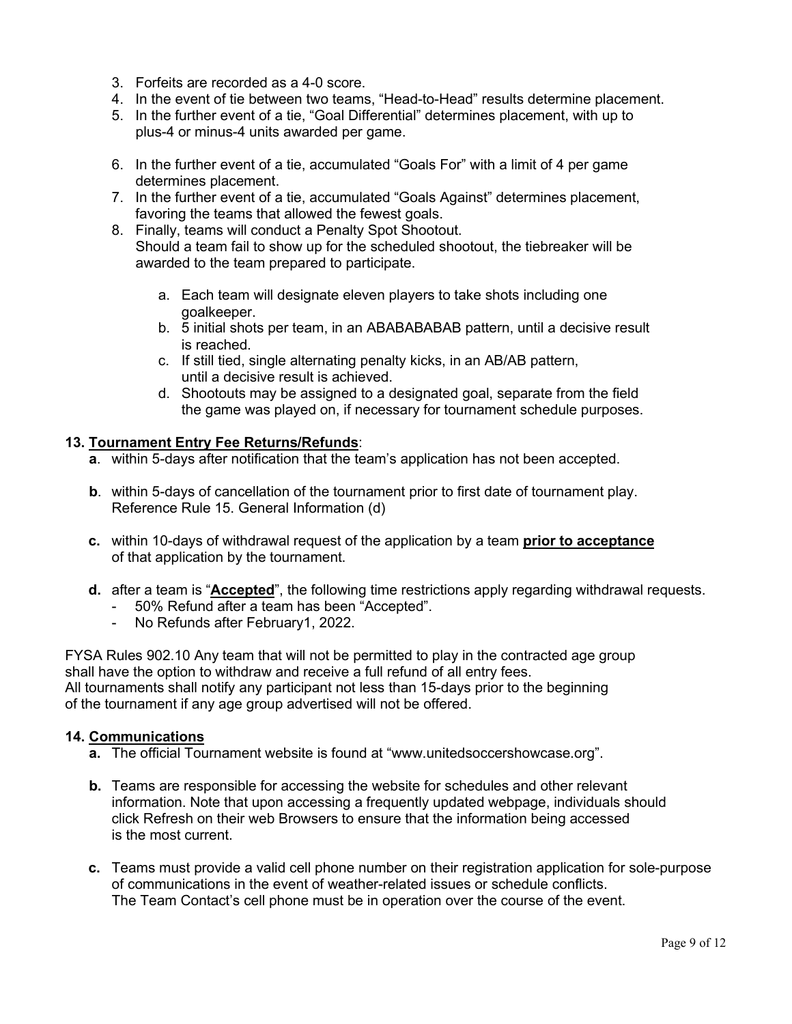- 3. Forfeits are recorded as a 4-0 score.
- 4. In the event of tie between two teams, "Head-to-Head" results determine placement.
- 5. In the further event of a tie, "Goal Differential" determines placement, with up to plus-4 or minus-4 units awarded per game.
- 6. In the further event of a tie, accumulated "Goals For" with a limit of 4 per game determines placement.
- 7. In the further event of a tie, accumulated "Goals Against" determines placement, favoring the teams that allowed the fewest goals.
- 8. Finally, teams will conduct a Penalty Spot Shootout. Should a team fail to show up for the scheduled shootout, the tiebreaker will be awarded to the team prepared to participate.
	- a. Each team will designate eleven players to take shots including one goalkeeper.
	- b. 5 initial shots per team, in an ABABABABAB pattern, until a decisive result is reached.
	- c. If still tied, single alternating penalty kicks, in an AB/AB pattern, until a decisive result is achieved.
	- d. Shootouts may be assigned to a designated goal, separate from the field the game was played on, if necessary for tournament schedule purposes.

## 13. Tournament Entry Fee Returns/Refunds:

- a. within 5-days after notification that the team's application has not been accepted.
- b. within 5-days of cancellation of the tournament prior to first date of tournament play. Reference Rule 15. General Information (d)
- c. within 10-days of withdrawal request of the application by a team prior to acceptance of that application by the tournament.
- d. after a team is "Accepted", the following time restrictions apply regarding withdrawal requests.
	- 50% Refund after a team has been "Accepted".
	- No Refunds after February1, 2022.

FYSA Rules 902.10 Any team that will not be permitted to play in the contracted age group shall have the option to withdraw and receive a full refund of all entry fees. All tournaments shall notify any participant not less than 15-days prior to the beginning of the tournament if any age group advertised will not be offered.

## 14. Communications

- a. The official Tournament website is found at "www.unitedsoccershowcase.org".
- b. Teams are responsible for accessing the website for schedules and other relevant information. Note that upon accessing a frequently updated webpage, individuals should click Refresh on their web Browsers to ensure that the information being accessed is the most current.
- c. Teams must provide a valid cell phone number on their registration application for sole-purpose of communications in the event of weather-related issues or schedule conflicts. The Team Contact's cell phone must be in operation over the course of the event.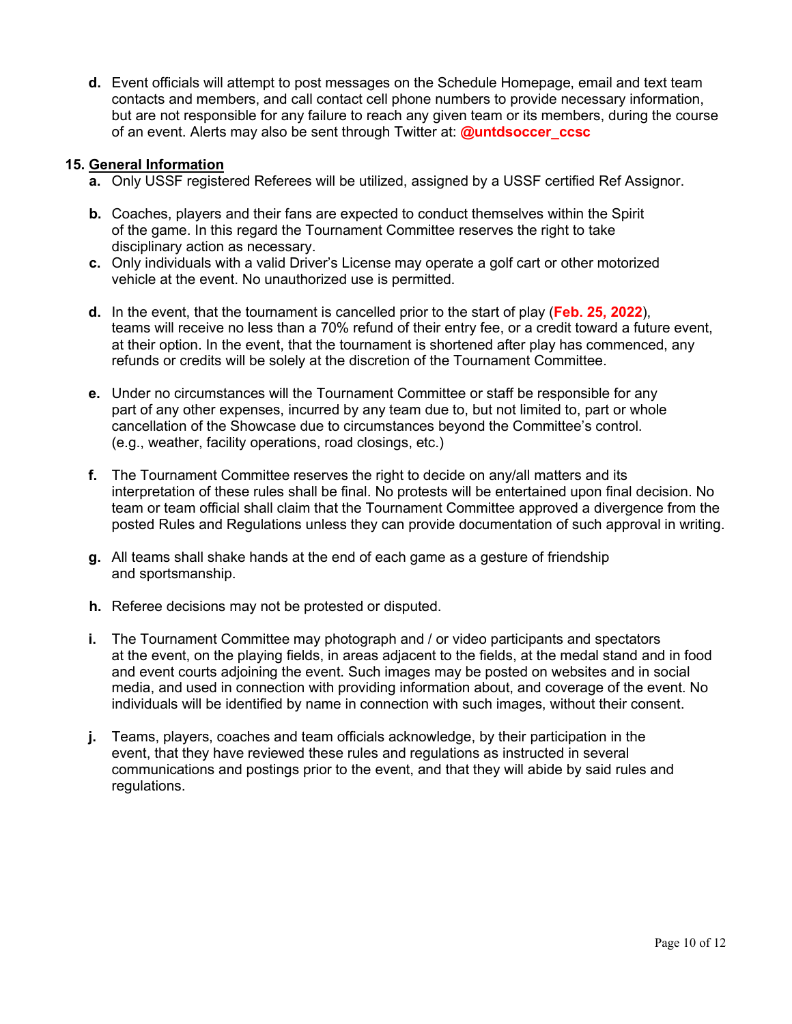d. Event officials will attempt to post messages on the Schedule Homepage, email and text team contacts and members, and call contact cell phone numbers to provide necessary information, but are not responsible for any failure to reach any given team or its members, during the course of an event. Alerts may also be sent through Twitter at: **@untdsoccer\_ccsc** 

## 15. General Information

- a. Only USSF registered Referees will be utilized, assigned by a USSF certified Ref Assignor.
- b. Coaches, players and their fans are expected to conduct themselves within the Spirit of the game. In this regard the Tournament Committee reserves the right to take disciplinary action as necessary.
- c. Only individuals with a valid Driver's License may operate a golf cart or other motorized vehicle at the event. No unauthorized use is permitted.
- d. In the event, that the tournament is cancelled prior to the start of play (Feb. 25, 2022), teams will receive no less than a 70% refund of their entry fee, or a credit toward a future event, at their option. In the event, that the tournament is shortened after play has commenced, any refunds or credits will be solely at the discretion of the Tournament Committee.
- e. Under no circumstances will the Tournament Committee or staff be responsible for any part of any other expenses, incurred by any team due to, but not limited to, part or whole cancellation of the Showcase due to circumstances beyond the Committee's control. (e.g., weather, facility operations, road closings, etc.)
- f. The Tournament Committee reserves the right to decide on any/all matters and its interpretation of these rules shall be final. No protests will be entertained upon final decision. No team or team official shall claim that the Tournament Committee approved a divergence from the posted Rules and Regulations unless they can provide documentation of such approval in writing.
- g. All teams shall shake hands at the end of each game as a gesture of friendship and sportsmanship.
- h. Referee decisions may not be protested or disputed.
- i. The Tournament Committee may photograph and / or video participants and spectators at the event, on the playing fields, in areas adjacent to the fields, at the medal stand and in food and event courts adjoining the event. Such images may be posted on websites and in social media, and used in connection with providing information about, and coverage of the event. No individuals will be identified by name in connection with such images, without their consent.
- j. Teams, players, coaches and team officials acknowledge, by their participation in the event, that they have reviewed these rules and regulations as instructed in several communications and postings prior to the event, and that they will abide by said rules and regulations.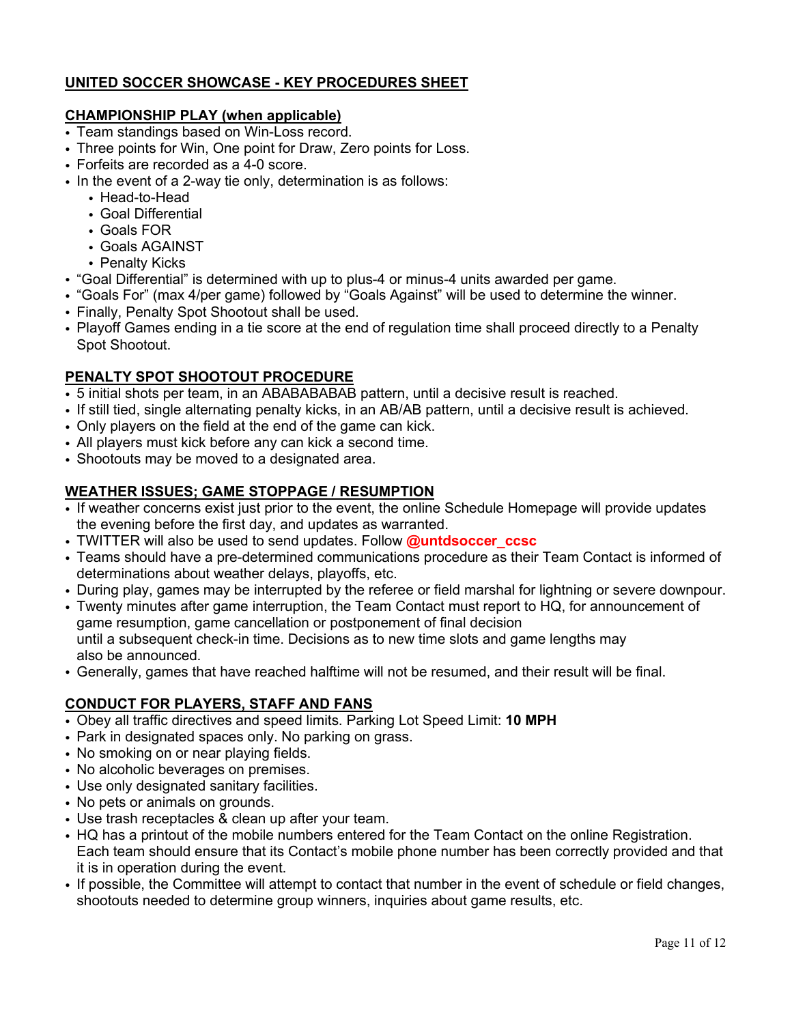# UNITED SOCCER SHOWCASE - KEY PROCEDURES SHEET

# CHAMPIONSHIP PLAY (when applicable)

- Team standings based on Win-Loss record.
- Three points for Win, One point for Draw, Zero points for Loss.
- Forfeits are recorded as a 4-0 score.
- In the event of a 2-way tie only, determination is as follows:
	- Head-to-Head
	- Goal Differential
	- Goals FOR
	- Goals AGAINST
	- Penalty Kicks
- "Goal Differential" is determined with up to plus-4 or minus-4 units awarded per game.
- "Goals For" (max 4/per game) followed by "Goals Against" will be used to determine the winner.
- Finally, Penalty Spot Shootout shall be used.
- Playoff Games ending in a tie score at the end of regulation time shall proceed directly to a Penalty Spot Shootout.

# PENALTY SPOT SHOOTOUT PROCEDURE

- 5 initial shots per team, in an ABABABABAB pattern, until a decisive result is reached.
- If still tied, single alternating penalty kicks, in an AB/AB pattern, until a decisive result is achieved.
- Only players on the field at the end of the game can kick.
- All players must kick before any can kick a second time.
- Shootouts may be moved to a designated area.

## WEATHER ISSUES; GAME STOPPAGE / RESUMPTION

- If weather concerns exist just prior to the event, the online Schedule Homepage will provide updates the evening before the first day, and updates as warranted.
- TWITTER will also be used to send updates. Follow **@untdsoccer\_ccsc**
- Teams should have a pre-determined communications procedure as their Team Contact is informed of determinations about weather delays, playoffs, etc.
- During play, games may be interrupted by the referee or field marshal for lightning or severe downpour.
- Twenty minutes after game interruption, the Team Contact must report to HQ, for announcement of game resumption, game cancellation or postponement of final decision until a subsequent check-in time. Decisions as to new time slots and game lengths may also be announced.
- Generally, games that have reached halftime will not be resumed, and their result will be final.

# CONDUCT FOR PLAYERS, STAFF AND FANS

- Obey all traffic directives and speed limits. Parking Lot Speed Limit: 10 MPH
- Park in designated spaces only. No parking on grass.
- No smoking on or near playing fields.
- No alcoholic beverages on premises.
- Use only designated sanitary facilities.
- No pets or animals on grounds.
- Use trash receptacles & clean up after your team.
- HQ has a printout of the mobile numbers entered for the Team Contact on the online Registration. Each team should ensure that its Contact's mobile phone number has been correctly provided and that it is in operation during the event.
- If possible, the Committee will attempt to contact that number in the event of schedule or field changes, shootouts needed to determine group winners, inquiries about game results, etc.